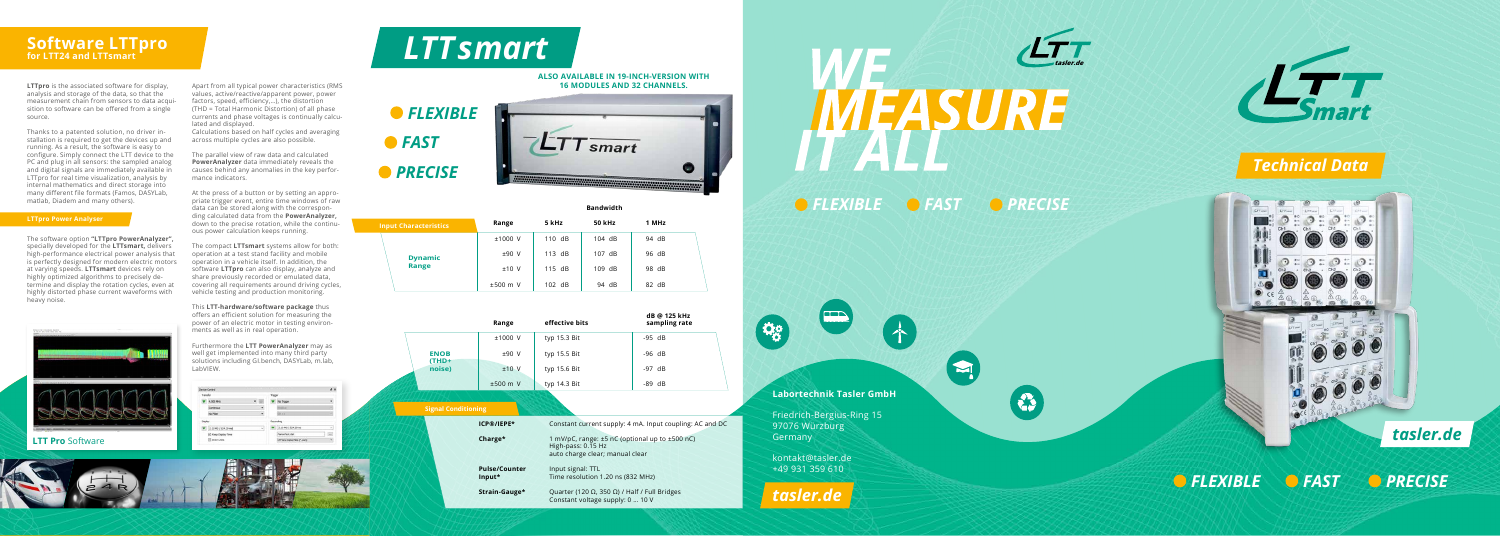# **Labortechnik Tasler GmbH**

Friedrich-Bergius-Ring 15 97076 Würzburg Germany

kontakt@tasler.de +49 931 359 610

 $\frac{1}{2}$ 

*tasler.de*

 $\blacktriangleright$ 



*FLEXIBLE FAST PRECISE*



# *Technical Data*



*FLEXIBLE FAST PRECISE*

# *tasler.de*

# **Software LTTpro for LTT24 and LTTsmart**

**LTTpro** is the associated software for display, analysis and storage of the data, so that the measurement chain from sensors to data acqui sition to software can be offered from a single source.

Thanks to a patented solution, no driver installation is required to get the devices up and running. As a result, the software is easy to configure. Simply connect the LTT device to the PC and plug in all sensors: the sampled analog and digital signals are immediately available in LTTpro for real time visualization, analysis by internal mathematics and direct storage into many different file formats (Famos, DASYLab, matlab, Diadem and many others).

The software option **"LTTpro PowerAnalyzer",** specially developed for the **LTTsmart,** delivers high-performance electrical power analysis that is perfectly designed for modern electric motors at varying speeds. **LTTsmart** devices rely on highly optimized algorithms to precisely de termine and display the rotation cycles, even at highly distorted phase current waveforms with heavy noise.



# **LTT Pro Software**

Apart from all typical power characteristics (RMS values, active/reactive/apparent power, power factors, speed, efficiency,…), the distortion (THD = Total Harmonic Distortion) of all phase currents and phase voltages is continually calcu lated and displayed.

Calculations based on half cycles and averaging across multiple cycles are also possible.

The parallel view of raw data and calculated **PowerAnalyzer** data immediately reveals the causes behind any anomalies in the key perfor mance indicators.

At the press of a button or by setting an appro priate trigger event, entire time windows of raw data can be stored along with the correspon ding calculated data from the **PowerAnalyzer,** down to the precise rotation, while the continu ous power calculation keeps running.

The compact **LTTsmart** systems allow for both: operation at a test stand facility and mobile operation in a vehicle itself. In addition, the software **LTTpro** can also display, analyze and share previously recorded or emulated data, covering all requirements around driving cycles, vehicle testing and production monitoring.

This **LTT-hardware/software package** thus offers an efficient solution for measuring the power of an electric motor in testing environ ments as well as in real operation.

Furthermore the **LTT PowerAnalyzer** may as well get implemented into many third party solutions including GI.bench, DASYLab, m.lab, LabVIEW.



### **LTTpro Power Analyser**

# **Bandwidth**

|                            | Range                          | effective bits                                                                                          | dB @ 125 kHz<br>sampling rate                            |
|----------------------------|--------------------------------|---------------------------------------------------------------------------------------------------------|----------------------------------------------------------|
|                            | ±1000 V                        | typ 15.3 Bit                                                                                            | $-95$ dB                                                 |
| <b>ENOB</b>                | ±90 V                          | typ $15.5$ Bit                                                                                          | $-96$ dB                                                 |
| (THD+<br>noise)            | $±10$ V                        | typ 15.6 Bit                                                                                            | $-97$ dB                                                 |
|                            | ±500 m V                       | typ 14.3 Bit                                                                                            | $-89$ dB                                                 |
| <b>Signal Conditioning</b> |                                |                                                                                                         |                                                          |
|                            | ICP®/IEPE*                     |                                                                                                         | Constant current supply: 4 mA. Input coupling: AC and DC |
|                            | Charge*                        | 1 mV/pC, range: ±5 nC (optional up to ±500 nC)<br>High-pass: 0.15 Hz<br>auto charge clear; manual clear |                                                          |
|                            | <b>Pulse/Counter</b><br>Input* | Input signal: TTL<br>Time resolution 1.20 ns (832 MHz)                                                  |                                                          |
|                            | Strain-Gauge*                  | Quarter (120 $\Omega$ , 350 $\Omega$ ) / Half / Full Bridges<br>Constant voltage supply: 0  10 V        |                                                          |

| <b>Input Characteristics</b> | Range      | 5 kHz  | <b>50 kHz</b> | 1 MHz |  |
|------------------------------|------------|--------|---------------|-------|--|
|                              | $±1000$ V  | 110 dB | 104 dB        | 94 dB |  |
| <b>Dynamic</b>               | $±90$ V    | 113 dB | 107 dB        | 96 dB |  |
| <b>Range</b>                 | $±10$ V    | 115 dB | $109$ dB      | 98 dB |  |
|                              | $±500$ m V | 102 dB | 94 dB         | 82 dB |  |





## **ALSO AVAILABLE IN 19-INCH-VERSION WITH 16 MODULES AND 32 CHANNELS.**

# *LTTsmart*